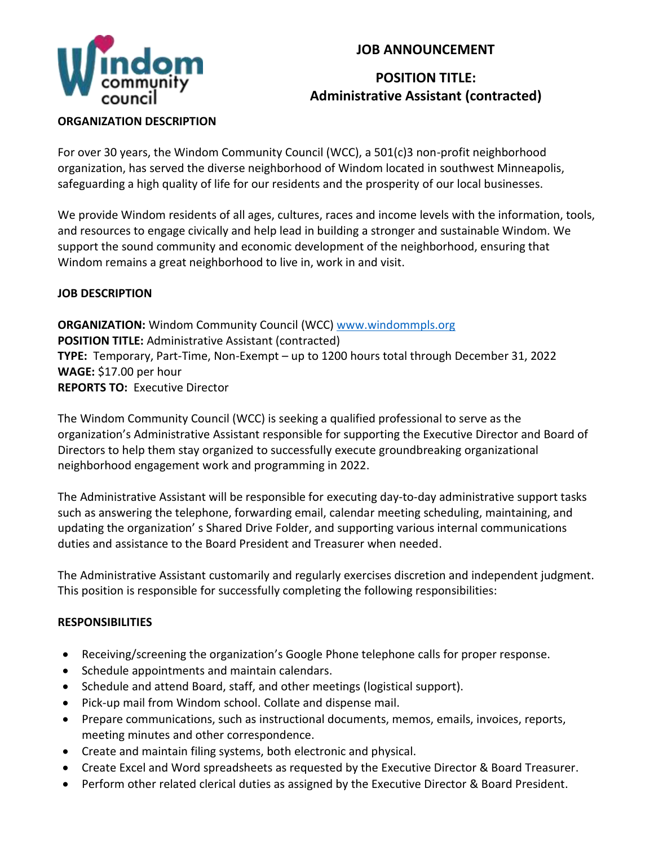

## **JOB ANNOUNCEMENT**

# **POSITION TITLE: Administrative Assistant (contracted)**

#### **ORGANIZATION DESCRIPTION**

For over 30 years, the Windom Community Council (WCC), a 501(c)3 non-profit neighborhood organization, has served the diverse neighborhood of Windom located in southwest Minneapolis, safeguarding a high quality of life for our residents and the prosperity of our local businesses.

We provide Windom residents of all ages, cultures, races and income levels with the information, tools, and resources to engage civically and help lead in building a stronger and sustainable Windom. We support the sound community and economic development of the neighborhood, ensuring that Windom remains a great neighborhood to live in, work in and visit.

## **JOB DESCRIPTION**

**ORGANIZATION:** Windom Community Council (WCC) [www.windommpls.org](http://www.windommpls.org/) **POSITION TITLE:** Administrative Assistant (contracted) **TYPE:** Temporary, Part-Time, Non-Exempt – up to 1200 hours total through December 31, 2022 **WAGE:** \$17.00 per hour **REPORTS TO:** Executive Director

The Windom Community Council (WCC) is seeking a qualified professional to serve as the organization's Administrative Assistant responsible for supporting the Executive Director and Board of Directors to help them stay organized to successfully execute groundbreaking organizational neighborhood engagement work and programming in 2022.

The Administrative Assistant will be responsible for executing day-to-day administrative support tasks such as answering the telephone, forwarding email, calendar meeting scheduling, maintaining, and updating the organization' s Shared Drive Folder, and supporting various internal communications duties and assistance to the Board President and Treasurer when needed.

The Administrative Assistant customarily and regularly exercises discretion and independent judgment. This position is responsible for successfully completing the following responsibilities:

### **RESPONSIBILITIES**

- Receiving/screening the organization's Google Phone telephone calls for proper response.
- Schedule appointments and maintain calendars.
- Schedule and attend Board, staff, and other meetings (logistical support).
- Pick-up mail from Windom school. Collate and dispense mail.
- Prepare communications, such as instructional documents, memos, emails, invoices, reports, meeting minutes and other correspondence.
- Create and maintain filing systems, both electronic and physical.
- Create Excel and Word spreadsheets as requested by the Executive Director & Board Treasurer.
- Perform other related clerical duties as assigned by the Executive Director & Board President.